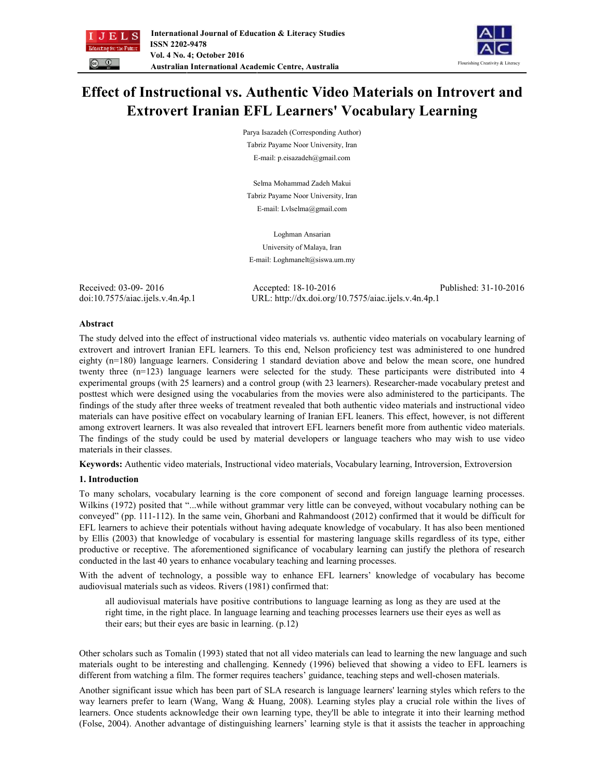



# **Effect of Instructional vs. Authentic Video Materials on Introvert and Extrovert Iranian EFL Learners' Vocabulary Learning**

Parya Isazadeh (Corresponding Author) Tabriz Payame Noor University, Iran E-mail: p.eisazadeh@gmail.com

Selma Mohammad Zadeh Makui Tabriz Payame Noor University, Iran E-mail: Lvlselma@gmail.com

Loghman Ansarian University of Malaya, Iran E-mail: Loghmanelt@siswa.um.my

Received: 03-09- 2016 Accepted: 18-10-2016 Published: 31-10-2016 doi:10.7575/aiac.ijels.v.4n.4p.1 URL: http://dx.doi.org/10.7575/aiac.ijels.v.4n.4p.1

# **Abstract**

The study delved into the effect of instructional video materials vs. authentic video materials on vocabulary learning of extrovert and introvert Iranian EFL learners. To this end, Nelson proficiency test was administered to one hundred eighty (n=180) language learners. Considering 1 standard deviation above and below the mean score, one hundred twenty three (n=123) language learners were selected for the study. These participants were distributed into 4 experimental groups (with 25 learners) and a control group (with 23 learners). Researcher-made vocabulary pretest and posttest which were designed using the vocabularies from the movies were also administered to the participants. The findings of the study after three weeks of treatment revealed that both authentic video materials and instructional video materials can have positive effect on vocabulary learning of Iranian EFL leaners. This effect, however, is not different among extrovert learners. It was also revealed that introvert EFL learners benefit more from authentic video materials. The findings of the study could be used by material developers or language teachers who may wish to use video materials in their classes.

**Keywords:** Authentic video materials, Instructional video materials, Vocabulary learning, Introversion, Extroversion

# **1. Introduction**

To many scholars, vocabulary learning is the core component of second and foreign language learning processes. Wilkins (1972) posited that "...while without grammar very little can be conveyed, without vocabulary nothing can be conveyed" (pp. 111-112). In the same vein, Ghorbani and Rahmandoost (2012) confirmed that it would be difficult for EFL learners to achieve their potentials without having adequate knowledge of vocabulary. It has also been mentioned by Ellis (2003) that knowledge of vocabulary is essential for mastering language skills regardless of its type, either productive or receptive. The aforementioned significance of vocabulary learning can justify the plethora of research conducted in the last 40 years to enhance vocabulary teaching and learning processes.

With the advent of technology, a possible way to enhance EFL learners' knowledge of vocabulary has become audiovisual materials such as videos. Rivers (1981) confirmed that:

all audiovisual materials have positive contributions to language learning as long as they are used at the right time, in the right place. In language learning and teaching processes learners use their eyes as well as their ears; but their eyes are basic in learning. (p.12)

Other scholars such as Tomalin (1993) stated that not all video materials can lead to learning the new language and such materials ought to be interesting and challenging. Kennedy (1996) believed that showing a video to EFL learners is different from watching a film. The former requires teachers' guidance, teaching steps and well-chosen materials.

Another significant issue which has been part of SLA research is language learners' learning styles which refers to the way learners prefer to learn (Wang, Wang & Huang, 2008). Learning styles play a crucial role within the lives of learners. Once students acknowledge their own learning type, they'll be able to integrate it into their learning method (Folse, 2004). Another advantage of distinguishing learners' learning style is that it assists the teacher in approaching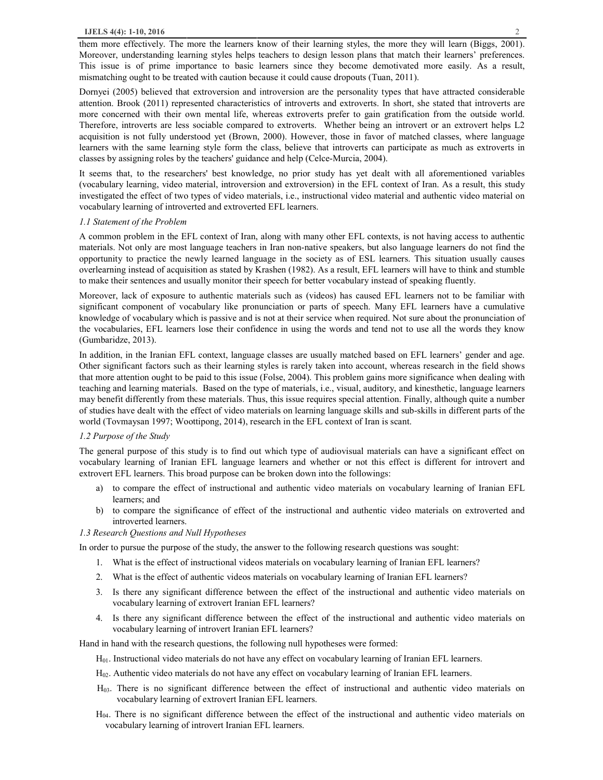them more effectively. The more the learners know of their learning styles, the more they will learn (Biggs, 2001). Moreover, understanding learning styles helps teachers to design lesson plans that match their learners' preferences. This issue is of prime importance to basic learners since they become demotivated more easily. As a result, mismatching ought to be treated with caution because it could cause dropouts (Tuan, 2011).

Dornyei (2005) believed that extroversion and introversion are the personality types that have attracted considerable attention. Brook (2011) represented characteristics of introverts and extroverts. In short, she stated that introverts are more concerned with their own mental life, whereas extroverts prefer to gain gratification from the outside world. Therefore, introverts are less sociable compared to extroverts. Whether being an introvert or an extrovert helps L2 acquisition is not fully understood yet (Brown, 2000). However, those in favor of matched classes, where language learners with the same learning style form the class, believe that introverts can participate as much as extroverts in classes by assigning roles by the teachers' guidance and help (Celce-Murcia, 2004).

It seems that, to the researchers' best knowledge, no prior study has yet dealt with all aforementioned variables (vocabulary learning, video material, introversion and extroversion) in the EFL context of Iran. As a result, this study investigated the effect of two types of video materials, i.e., instructional video material and authentic video material on vocabulary learning of introverted and extroverted EFL learners.

## *1.1 Statement of the Problem*

A common problem in the EFL context of Iran, along with many other EFL contexts, is not having access to authentic materials. Not only are most language teachers in Iran non-native speakers, but also language learners do not find the opportunity to practice the newly learned language in the society as of ESL learners. This situation usually causes overlearning instead of acquisition as stated by Krashen (1982). As a result, EFL learners will have to think and stumble to make their sentences and usually monitor their speech for better vocabulary instead of speaking fluently.

Moreover, lack of exposure to authentic materials such as (videos) has caused EFL learners not to be familiar with significant component of vocabulary like pronunciation or parts of speech. Many EFL learners have a cumulative knowledge of vocabulary which is passive and is not at their service when required. Not sure about the pronunciation of the vocabularies, EFL learners lose their confidence in using the words and tend not to use all the words they know (Gumbaridze, 2013).

In addition, in the Iranian EFL context, language classes are usually matched based on EFL learners' gender and age. Other significant factors such as their learning styles is rarely taken into account, whereas research in the field shows that more attention ought to be paid to this issue (Folse, 2004). This problem gains more significance when dealing with teaching and learning materials. Based on the type of materials, i.e., visual, auditory, and kinesthetic, language learners may benefit differently from these materials. Thus, this issue requires special attention. Finally, although quite a number of studies have dealt with the effect of video materials on learning language skills and sub-skills in different parts of the world (Tovmaysan 1997; Woottipong, 2014), research in the EFL context of Iran is scant.

## *1.2 Purpose of the Study*

The general purpose of this study is to find out which type of audiovisual materials can have a significant effect on vocabulary learning of Iranian EFL language learners and whether or not this effect is different for introvert and extrovert EFL learners. This broad purpose can be broken down into the followings:

- a) to compare the effect of instructional and authentic video materials on vocabulary learning of Iranian EFL learners; and
- b) to compare the significance of effect of the instructional and authentic video materials on extroverted and introverted learners.

#### *1.3 Research Questions and Null Hypotheses*

In order to pursue the purpose of the study, the answer to the following research questions was sought:

- 1. What is the effect of instructional videos materials on vocabulary learning of Iranian EFL learners?
- 2. What is the effect of authentic videos materials on vocabulary learning of Iranian EFL learners?
- 3. Is there any significant difference between the effect of the instructional and authentic video materials on vocabulary learning of extrovert Iranian EFL learners?
- 4. Is there any significant difference between the effect of the instructional and authentic video materials on vocabulary learning of introvert Iranian EFL learners?

Hand in hand with the research questions, the following null hypotheses were formed:

- H01. Instructional video materials do not have any effect on vocabulary learning of Iranian EFL learners.
- H02. Authentic video materials do not have any effect on vocabulary learning of Iranian EFL learners.
- H03. There is no significant difference between the effect of instructional and authentic video materials on vocabulary learning of extrovert Iranian EFL learners.
- H04. There is no significant difference between the effect of the instructional and authentic video materials on vocabulary learning of introvert Iranian EFL learners.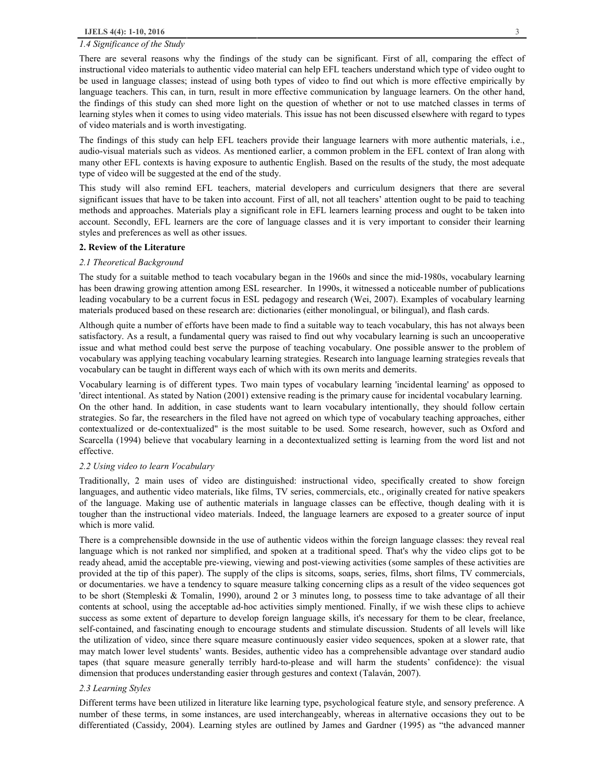#### *1.4 Significance of the Study*

There are several reasons why the findings of the study can be significant. First of all, comparing the effect of instructional video materials to authentic video material can help EFL teachers understand which type of video ought to be used in language classes; instead of using both types of video to find out which is more effective empirically by language teachers. This can, in turn, result in more effective communication by language learners. On the other hand, the findings of this study can shed more light on the question of whether or not to use matched classes in terms of learning styles when it comes to using video materials. This issue has not been discussed elsewhere with regard to types of video materials and is worth investigating.

The findings of this study can help EFL teachers provide their language learners with more authentic materials, i.e., audio-visual materials such as videos. As mentioned earlier, a common problem in the EFL context of Iran along with many other EFL contexts is having exposure to authentic English. Based on the results of the study, the most adequate type of video will be suggested at the end of the study.

This study will also remind EFL teachers, material developers and curriculum designers that there are several significant issues that have to be taken into account. First of all, not all teachers' attention ought to be paid to teaching methods and approaches. Materials play a significant role in EFL learners learning process and ought to be taken into account. Secondly, EFL learners are the core of language classes and it is very important to consider their learning styles and preferences as well as other issues.

#### **2. Review of the Literature**

#### *2.1 Theoretical Background*

The study for a suitable method to teach vocabulary began in the 1960s and since the mid-1980s, vocabulary learning has been drawing growing attention among ESL researcher. In 1990s, it witnessed a noticeable number of publications leading vocabulary to be a current focus in ESL pedagogy and research (Wei, 2007). Examples of vocabulary learning materials produced based on these research are: dictionaries (either monolingual, or bilingual), and flash cards.

Although quite a number of efforts have been made to find a suitable way to teach vocabulary, this has not always been satisfactory. As a result, a fundamental query was raised to find out why vocabulary learning is such an uncooperative issue and what method could best serve the purpose of teaching vocabulary. One possible answer to the problem of vocabulary was applying teaching vocabulary learning strategies. Research into language learning strategies reveals that vocabulary can be taught in different ways each of which with its own merits and demerits.

Vocabulary learning is of different types. Two main types of vocabulary learning 'incidental learning' as opposed to 'direct intentional. As stated by Nation (2001) extensive reading is the primary cause for incidental vocabulary learning. On the other hand. In addition, in case students want to learn vocabulary intentionally, they should follow certain strategies. So far, the researchers in the filed have not agreed on which type of vocabulary teaching approaches, either contextualized or de-contextualized" is the most suitable to be used. Some research, however, such as Oxford and Scarcella (1994) believe that vocabulary learning in a decontextualized setting is learning from the word list and not effective.

#### *2.2 Using video to learn Vocabulary*

Traditionally, 2 main uses of video are distinguished: instructional video, specifically created to show foreign languages, and authentic video materials, like films, TV series, commercials, etc., originally created for native speakers of the language. Making use of authentic materials in language classes can be effective, though dealing with it is tougher than the instructional video materials. Indeed, the language learners are exposed to a greater source of input which is more valid.

There is a comprehensible downside in the use of authentic videos within the foreign language classes: they reveal real language which is not ranked nor simplified, and spoken at a traditional speed. That's why the video clips got to be ready ahead, amid the acceptable pre-viewing, viewing and post-viewing activities (some samples of these activities are provided at the tip of this paper). The supply of the clips is sitcoms, soaps, series, films, short films, TV commercials, or documentaries. we have a tendency to square measure talking concerning clips as a result of the video sequences got to be short (Stempleski & Tomalin, 1990), around 2 or 3 minutes long, to possess time to take advantage of all their contents at school, using the acceptable ad-hoc activities simply mentioned. Finally, if we wish these clips to achieve success as some extent of departure to develop foreign language skills, it's necessary for them to be clear, freelance, self-contained, and fascinating enough to encourage students and stimulate discussion. Students of all levels will like the utilization of video, since there square measure continuously easier video sequences, spoken at a slower rate, that may match lower level students' wants. Besides, authentic video has a comprehensible advantage over standard audio tapes (that square measure generally terribly hard-to-please and will harm the students' confidence): the visual dimension that produces understanding easier through gestures and context (Talaván, 2007).

#### *2.3 Learning Styles*

Different terms have been utilized in literature like learning type, psychological feature style, and sensory preference. A number of these terms, in some instances, are used interchangeably, whereas in alternative occasions they out to be differentiated (Cassidy, 2004). Learning styles are outlined by James and Gardner (1995) as "the advanced manner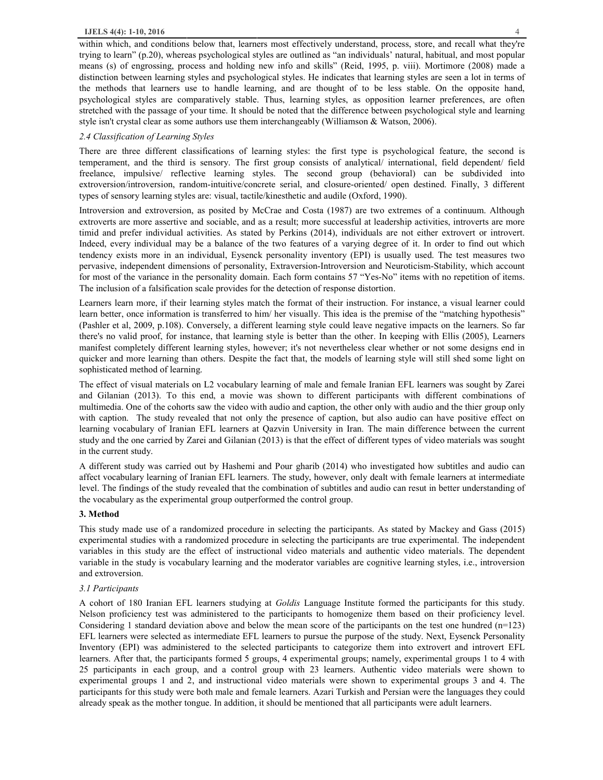within which, and conditions below that, learners most effectively understand, process, store, and recall what they're trying to learn" (p.20), whereas psychological styles are outlined as "an individuals' natural, habitual, and most popular means (s) of engrossing, process and holding new info and skills" (Reid, 1995, p. viii). Mortimore (2008) made a distinction between learning styles and psychological styles. He indicates that learning styles are seen a lot in terms of the methods that learners use to handle learning, and are thought of to be less stable. On the opposite hand, psychological styles are comparatively stable. Thus, learning styles, as opposition learner preferences, are often stretched with the passage of your time. It should be noted that the difference between psychological style and learning style isn't crystal clear as some authors use them interchangeably (Williamson & Watson, 2006).

# *2.4 Classification of Learning Styles*

There are three different classifications of learning styles: the first type is psychological feature, the second is temperament, and the third is sensory. The first group consists of analytical/ international, field dependent/ field freelance, impulsive/ reflective learning styles. The second group (behavioral) can be subdivided into extroversion/introversion, random-intuitive/concrete serial, and closure-oriented/ open destined. Finally, 3 different types of sensory learning styles are: visual, tactile/kinesthetic and audile (Oxford, 1990).

Introversion and extroversion, as posited by McCrae and Costa (1987) are two extremes of a continuum. Although extroverts are more assertive and sociable, and as a result; more successful at leadership activities, introverts are more timid and prefer individual activities. As stated by Perkins (2014), individuals are not either extrovert or introvert. Indeed, every individual may be a balance of the two features of a varying degree of it. In order to find out which tendency exists more in an individual, Eysenck personality inventory (EPI) is usually used. The test measures two pervasive, independent dimensions of personality, Extraversion-Introversion and Neuroticism-Stability, which account for most of the variance in the personality domain. Each form contains 57 "Yes-No" items with no repetition of items. The inclusion of a falsification scale provides for the detection of response distortion.

Learners learn more, if their learning styles match the format of their instruction. For instance, a visual learner could learn better, once information is transferred to him/ her visually. This idea is the premise of the "matching hypothesis" (Pashler et al, 2009, p.108). Conversely, a different learning style could leave negative impacts on the learners. So far there's no valid proof, for instance, that learning style is better than the other. In keeping with Ellis (2005), Learners manifest completely different learning styles, however; it's not nevertheless clear whether or not some designs end in quicker and more learning than others. Despite the fact that, the models of learning style will still shed some light on sophisticated method of learning.

The effect of visual materials on L2 vocabulary learning of male and female Iranian EFL learners was sought by Zarei and Gilanian (2013). To this end, a movie was shown to different participants with different combinations of multimedia. One of the cohorts saw the video with audio and caption, the other only with audio and the thier group only with caption. The study revealed that not only the presence of caption, but also audio can have positive effect on learning vocabulary of Iranian EFL learners at Qazvin University in Iran. The main difference between the current study and the one carried by Zarei and Gilanian (2013) is that the effect of different types of video materials was sought in the current study.

A different study was carried out by Hashemi and Pour gharib (2014) who investigated how subtitles and audio can affect vocabulary learning of Iranian EFL learners. The study, however, only dealt with female learners at intermediate level. The findings of the study revealed that the combination of subtitles and audio can resut in better understanding of the vocabulary as the experimental group outperformed the control group.

# **3. Method**

This study made use of a randomized procedure in selecting the participants. As stated by Mackey and Gass (2015) experimental studies with a randomized procedure in selecting the participants are true experimental. The independent variables in this study are the effect of instructional video materials and authentic video materials. The dependent variable in the study is vocabulary learning and the moderator variables are cognitive learning styles, i.e., introversion and extroversion.

# *3.1 Participants*

A cohort of 180 Iranian EFL learners studying at *Goldis* Language Institute formed the participants for this study. Nelson proficiency test was administered to the participants to homogenize them based on their proficiency level. Considering 1 standard deviation above and below the mean score of the participants on the test one hundred  $(n=123)$ EFL learners were selected as intermediate EFL learners to pursue the purpose of the study. Next, Eysenck Personality Inventory (EPI) was administered to the selected participants to categorize them into extrovert and introvert EFL learners. After that, the participants formed 5 groups, 4 experimental groups; namely, experimental groups 1 to 4 with 25 participants in each group, and a control group with 23 learners. Authentic video materials were shown to experimental groups 1 and 2, and instructional video materials were shown to experimental groups 3 and 4. The participants for this study were both male and female learners. Azari Turkish and Persian were the languages they could already speak as the mother tongue. In addition, it should be mentioned that all participants were adult learners.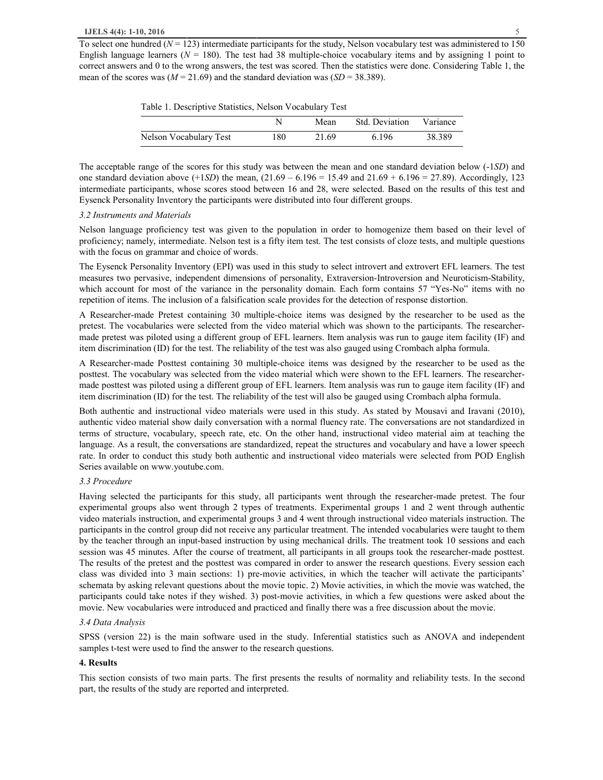To select one hundred  $(N = 123)$  intermediate participants for the study, Nelson vocabulary test was administered to 150 English language learners ( $N = 180$ ). The test had 38 multiple-choice vocabulary items and by assigning 1 point to correct answers and 0 to the wrong answers, the test was scored. Then the statistics were done. Considering Table 1, the mean of the scores was  $(M = 21.69)$  and the standard deviation was  $(SD = 38.389)$ .

| Table 1. Descriptive Statistics, Nelson Vocabulary Test |
|---------------------------------------------------------|
|---------------------------------------------------------|

|                        |     | Mean  | Std. Deviation Variance |        |
|------------------------|-----|-------|-------------------------|--------|
| Nelson Vocabulary Test | 180 | 21.69 | 6.196                   | 38.389 |

The acceptable range of the scores for this study was between the mean and one standard deviation below (-1*SD*) and one standard deviation above (+1*SD*) the mean, (21.69 – 6.196 = 15.49 and 21.69 + 6.196 = 27.89). Accordingly, 123 intermediate participants, whose scores stood between 16 and 28, were selected. Based on the results of this test and Eysenck Personality Inventory the participants were distributed into four different groups.

#### *3.2 Instruments and Materials*

Nelson language proficiency test was given to the population in order to homogenize them based on their level of proficiency; namely, intermediate. Nelson test is a fifty item test. The test consists of cloze tests, and multiple questions with the focus on grammar and choice of words.

The Eysenck Personality Inventory (EPI) was used in this study to select introvert and extrovert EFL learners. The test measures two pervasive, independent dimensions of personality, Extraversion-Introversion and Neuroticism-Stability, which account for most of the variance in the personality domain. Each form contains 57 "Yes-No" items with no repetition of items. The inclusion of a falsification scale provides for the detection of response distortion.

A Researcher-made Pretest containing 30 multiple-choice items was designed by the researcher to be used as the pretest. The vocabularies were selected from the video material which was shown to the participants. The researchermade pretest was piloted using a different group of EFL learners. Item analysis was run to gauge item facility (IF) and item discrimination (ID) for the test. The reliability of the test was also gauged using Crombach alpha formula.

A Researcher-made Posttest containing 30 multiple-choice items was designed by the researcher to be used as the posttest. The vocabulary was selected from the video material which were shown to the EFL learners. The researchermade posttest was piloted using a different group of EFL learners. Item analysis was run to gauge item facility (IF) and item discrimination (ID) for the test. The reliability of the test will also be gauged using Crombach alpha formula.

Both authentic and instructional video materials were used in this study. As stated by Mousavi and Iravani (2010), authentic video material show daily conversation with a normal fluency rate. The conversations are not standardized in terms of structure, vocabulary, speech rate, etc. On the other hand, instructional video material aim at teaching the language. As a result, the conversations are standardized, repeat the structures and vocabulary and have a lower speech rate. In order to conduct this study both authentic and instructional video materials were selected from POD English Series available on www.youtube.com.

# *3.3 Procedure*

Having selected the participants for this study, all participants went through the researcher-made pretest. The four experimental groups also went through 2 types of treatments. Experimental groups 1 and 2 went through authentic video materials instruction, and experimental groups 3 and 4 went through instructional video materials instruction. The participants in the control group did not receive any particular treatment. The intended vocabularies were taught to them by the teacher through an input-based instruction by using mechanical drills. The treatment took 10 sessions and each session was 45 minutes. After the course of treatment, all participants in all groups took the researcher-made posttest. The results of the pretest and the posttest was compared in order to answer the research questions. Every session each class was divided into 3 main sections: 1) pre-movie activities, in which the teacher will activate the participants' schemata by asking relevant questions about the movie topic. 2) Movie activities, in which the movie was watched, the participants could take notes if they wished. 3) post-movie activities, in which a few questions were asked about the movie. New vocabularies were introduced and practiced and finally there was a free discussion about the movie.

## *3.4 Data Analysis*

SPSS (version 22) is the main software used in the study. Inferential statistics such as ANOVA and independent samples t-test were used to find the answer to the research questions.

#### **4. Results**

This section consists of two main parts. The first presents the results of normality and reliability tests. In the second part, the results of the study are reported and interpreted.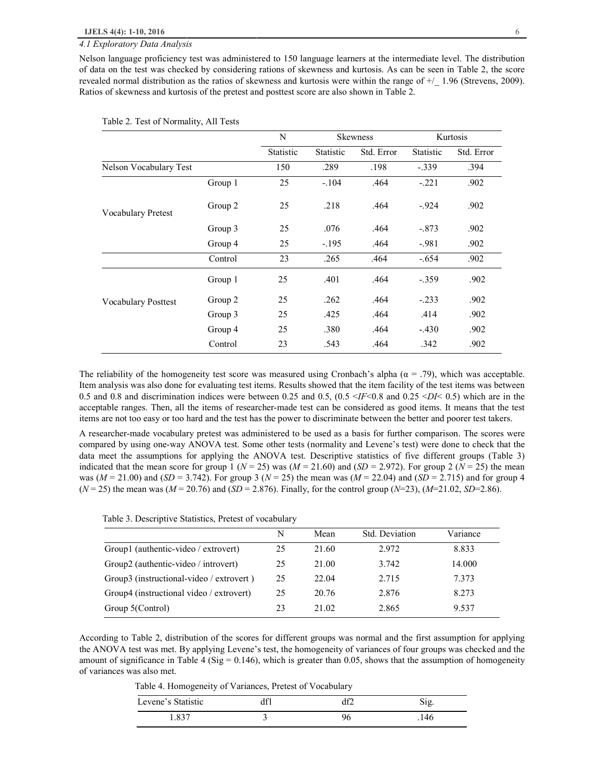# *4.1 Exploratory Data Analysis*

Nelson language proficiency test was administered to 150 language learners at the intermediate level. The distribution of data on the test was checked by considering rations of skewness and kurtosis. As can be seen in Table 2, the score revealed normal distribution as the ratios of skewness and kurtosis were within the range of +/\_ 1.96 (Strevens, 2009). Ratios of skewness and kurtosis of the pretest and posttest score are also shown in Table 2.

|                            |         | N         |           | <b>Skewness</b> |                                                       | Kurtosis   |
|----------------------------|---------|-----------|-----------|-----------------|-------------------------------------------------------|------------|
|                            |         | Statistic | Statistic | Std. Error      | Statistic                                             | Std. Error |
| Nelson Vocabulary Test     |         | 150       | .289      | .198            | $-.339$<br>.394<br>$-.221$<br>.902<br>$-.924$<br>.902 |            |
|                            | Group 1 | 25        | $-.104$   | .464            |                                                       |            |
| Vocabulary Pretest         | Group 2 | 25        | .218      | .464            |                                                       |            |
|                            | Group 3 | 25        | .076      | .464            | $-.873$                                               | .902       |
|                            | Group 4 | 25        | $-.195$   | .464            | $-.981$                                               | .902       |
|                            | Control | 23        | .265      | .464            | $-.654$                                               | .902       |
|                            | Group 1 | 25        | .401      | .464            | $-.359$                                               | .902       |
| <b>Vocabulary Posttest</b> | Group 2 | 25        | .262      | .464            | $-.233$                                               | .902       |
|                            | Group 3 | 25        | .425      | .464            | .414                                                  | .902       |
|                            | Group 4 | 25        | .380      | .464            | $-.430$                                               | .902       |
|                            | Control | 23        | .543      | .464            | .342                                                  | .902       |

#### Table 2. Test of Normality, All Tests

The reliability of the homogeneity test score was measured using Cronbach's alpha  $(\alpha = .79)$ , which was acceptable. Item analysis was also done for evaluating test items. Results showed that the item facility of the test items was between 0.5 and 0.8 and discrimination indices were between 0.25 and 0.5, (0.5 <*IF*<0.8 and 0.25 <*DI*< 0.5) which are in the acceptable ranges. Then, all the items of researcher-made test can be considered as good items. It means that the test items are not too easy or too hard and the test has the power to discriminate between the better and poorer test takers.

A researcher-made vocabulary pretest was administered to be used as a basis for further comparison. The scores were compared by using one-way ANOVA test. Some other tests (normality and Levene's test) were done to check that the data meet the assumptions for applying the ANOVA test. Descriptive statistics of five different groups (Table 3) indicated that the mean score for group 1 ( $N = 25$ ) was ( $M = 21.60$ ) and ( $SD = 2.972$ ). For group 2 ( $N = 25$ ) the mean was (*M* = 21.00) and (*SD* = 3.742). For group 3 (*N* = 25) the mean was (*M* = 22.04) and (*SD* = 2.715) and for group 4  $(N = 25)$  the mean was  $(M = 20.76)$  and  $(SD = 2.876)$ . Finally, for the control group  $(N = 23)$ ,  $(M = 21.02, SD = 2.86)$ .

|                                          | N  | Mean  | Std. Deviation | Variance |
|------------------------------------------|----|-------|----------------|----------|
| Group1 (authentic-video / extrovert)     | 25 | 21.60 | 2.972          | 8.833    |
| Group2 (authentic-video / introvert)     | 25 | 21.00 | 3.742          | 14.000   |
| Group3 (instructional-video / extrovert) | 25 | 22.04 | 2.715          | 7.373    |
| Group4 (instructional video / extrovert) | 25 | 20.76 | 2.876          | 8.273    |
| Group 5(Control)                         | 23 | 21.02 | 2.865          | 9.537    |

According to Table 2, distribution of the scores for different groups was normal and the first assumption for applying the ANOVA test was met. By applying Levene's test, the homogeneity of variances of four groups was checked and the amount of significance in Table 4 (Sig =  $0.146$ ), which is greater than 0.05, shows that the assumption of homogeneity of variances was also met.

Table 4. Homogeneity of Variances, Pretest of Vocabulary

| Levene's Statistic |  |  |
|--------------------|--|--|
| . 837              |  |  |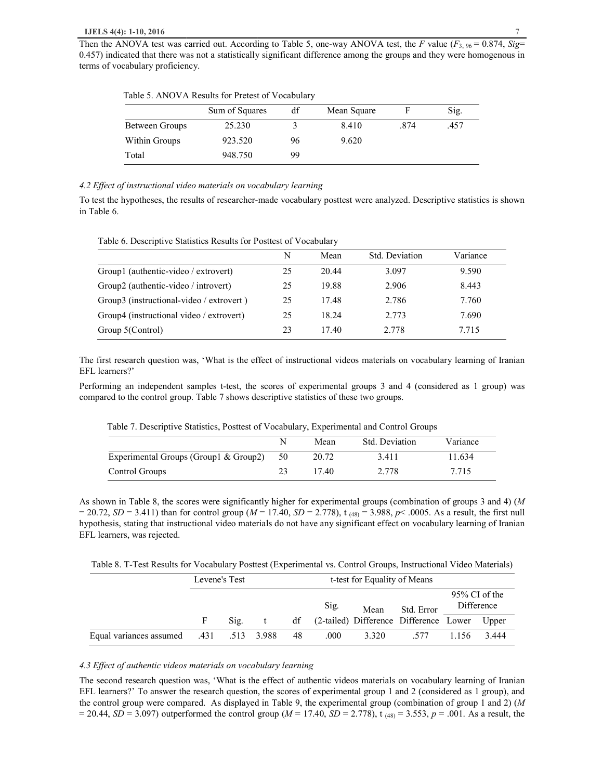Table 5. ANOVA Results for Pretest of Vocabulary

|                | Sum of Squares | df | Mean Square |      | Sig. |
|----------------|----------------|----|-------------|------|------|
| Between Groups | 25.230         |    | 8.410       | .874 | .457 |
| Within Groups  | 923.520        | 96 | 9.620       |      |      |
| Total          | 948.750        | 99 |             |      |      |

# *4.2 Effect of instructional video materials on vocabulary learning*

To test the hypotheses, the results of researcher-made vocabulary posttest were analyzed. Descriptive statistics is shown in Table 6.

| Table 6. Descriptive Statistics Results for Posttest of Vocabulary |  |
|--------------------------------------------------------------------|--|
|--------------------------------------------------------------------|--|

|                                          | N  | Mean  | Std. Deviation | Variance |
|------------------------------------------|----|-------|----------------|----------|
| Group1 (authentic-video / extrovert)     | 25 | 20.44 | 3.097          | 9.590    |
| Group2 (authentic-video / introvert)     | 25 | 19.88 | 2.906          | 8.443    |
| Group3 (instructional-video / extrovert) | 25 | 17.48 | 2.786          | 7.760    |
| Group4 (instructional video / extrovert) | 25 | 18.24 | 2.773          | 7.690    |
| Group 5(Control)                         | 23 | 17.40 | 2.778          | 7.715    |

The first research question was, 'What is the effect of instructional videos materials on vocabulary learning of Iranian EFL learners?'

Performing an independent samples t-test, the scores of experimental groups 3 and 4 (considered as 1 group) was compared to the control group. Table 7 shows descriptive statistics of these two groups.

| Table 7. Descriptive Statistics, Posttest of Vocabulary, Experimental and Control Groups |  |  |
|------------------------------------------------------------------------------------------|--|--|
|------------------------------------------------------------------------------------------|--|--|

|                                       |    | Mean  | Std. Deviation | Variance |
|---------------------------------------|----|-------|----------------|----------|
| Experimental Groups (Group1 & Group2) | 50 | 20.72 | 3.411          | 11.634   |
| Control Groups                        |    | 17.40 | 2.778          | 7.715    |

As shown in Table 8, the scores were significantly higher for experimental groups (combination of groups 3 and 4) (*M*  $= 20.72$ , *SD* = 3.411) than for control group (*M* = 17.40, *SD* = 2.778), t<sub>(48)</sub> = 3.988, *p*< .0005. As a result, the first null hypothesis, stating that instructional video materials do not have any significant effect on vocabulary learning of Iranian EFL learners, was rejected.

Table 8. T-Test Results for Vocabulary Posttest (Experimental vs. Control Groups, Instructional Video Materials)

|                                         | Levene's Test |      |   |    | t-test for Equality of Means |       |                                                 |                                |       |
|-----------------------------------------|---------------|------|---|----|------------------------------|-------|-------------------------------------------------|--------------------------------|-------|
|                                         |               |      |   |    | Sig.                         | Mean  | Std. Error                                      | $95\%$ CI of the<br>Difference |       |
|                                         | F             | Sig. | t |    |                              |       | df (2-tailed) Difference Difference Lower Upper |                                |       |
| Equal variances assumed .431 .513 3.988 |               |      |   | 48 | .000                         | 3.320 | .577                                            | 1.156                          | 3.444 |

# *4.3 Effect of authentic videos materials on vocabulary learning*

The second research question was, 'What is the effect of authentic videos materials on vocabulary learning of Iranian EFL learners?' To answer the research question, the scores of experimental group 1 and 2 (considered as 1 group), and the control group were compared. As displayed in Table 9, the experimental group (combination of group 1 and 2) (*M*  $= 20.44$ , *SD* = 3.097) outperformed the control group (*M* = 17.40, *SD* = 2.778), t (48) = 3.553, *p* = .001. As a result, the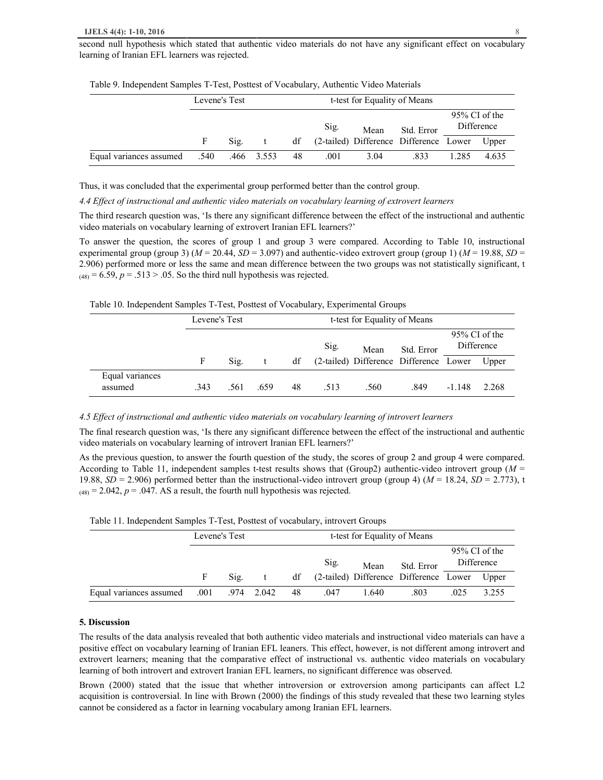second null hypothesis which stated that authentic video materials do not have any significant effect on vocabulary learning of Iranian EFL learners was rejected.

|                         | Levene's Test |            | t-test for Equality of Means |    |      |      |                                                 |                                |       |
|-------------------------|---------------|------------|------------------------------|----|------|------|-------------------------------------------------|--------------------------------|-------|
|                         |               |            |                              |    | Sig. | Mean | Std. Error                                      | $95\%$ CI of the<br>Difference |       |
|                         |               | Sig.       | $-t$                         |    |      |      | df (2-tailed) Difference Difference Lower Upper |                                |       |
| Equal variances assumed | .540          | .466 3.553 |                              | 48 | .001 | 3.04 | .833                                            | 1.285                          | 4.635 |

Table 9. Independent Samples T-Test, Posttest of Vocabulary, Authentic Video Materials

Thus, it was concluded that the experimental group performed better than the control group.

*4.4 Effect of instructional and authentic video materials on vocabulary learning of extrovert learners* 

The third research question was, 'Is there any significant difference between the effect of the instructional and authentic video materials on vocabulary learning of extrovert Iranian EFL learners?'

To answer the question, the scores of group 1 and group 3 were compared. According to Table 10, instructional experimental group (group 3)  $(M = 20.44, SD = 3.097)$  and authentic-video extrovert group (group 1)  $(M = 19.88, SD =$ 2.906) performed more or less the same and mean difference between the two groups was not statistically significant, t  $(48) = 6.59$ ,  $p = .513 > .05$ . So the third null hypothesis was rejected.

Table 10. Independent Samples T-Test, Posttest of Vocabulary, Experimental Groups

|                            | Levene's Test |      |      |    | t-test for Equality of Means |      |                                              |                                |       |
|----------------------------|---------------|------|------|----|------------------------------|------|----------------------------------------------|--------------------------------|-------|
|                            |               |      |      |    | Sig.                         | Mean | Std. Error                                   | $95\%$ CI of the<br>Difference |       |
|                            |               | Sig. | t    | df |                              |      | (2-tailed) Difference Difference Lower Upper |                                |       |
| Equal variances<br>assumed | .343          | .561 | .659 | 48 | .513                         | .560 | .849                                         | $-1.148$                       | 2.268 |

#### *4.5 Effect of instructional and authentic video materials on vocabulary learning of introvert learners*

The final research question was, 'Is there any significant difference between the effect of the instructional and authentic video materials on vocabulary learning of introvert Iranian EFL learners?'

As the previous question, to answer the fourth question of the study, the scores of group 2 and group 4 were compared. According to Table 11, independent samples t-test results shows that (Group2) authentic-video introvert group (*M* = 19.88,  $SD = 2.906$ ) performed better than the instructional-video introvert group (group 4) ( $M = 18.24$ ,  $SD = 2.773$ ), t  $(48) = 2.042$ ,  $p = .047$ . AS a result, the fourth null hypothesis was rejected.

|  |  | Table 11. Independent Samples T-Test, Posttest of vocabulary, introvert Groups |
|--|--|--------------------------------------------------------------------------------|
|  |  |                                                                                |

|                                         |   | Levene's Test |                         | t-test for Equality of Means |      |       |                                                 |                                |       |  |
|-----------------------------------------|---|---------------|-------------------------|------------------------------|------|-------|-------------------------------------------------|--------------------------------|-------|--|
|                                         |   |               |                         |                              | Sig. | Mean  | Std. Error                                      | $95\%$ CI of the<br>Difference |       |  |
|                                         | F |               | $\operatorname{Sig.}$ t |                              |      |       | df (2-tailed) Difference Difference Lower Upper |                                |       |  |
| Equal variances assumed .001 .974 2.042 |   |               |                         | 48                           | .047 | 1.640 | .803                                            | .025                           | 3.255 |  |

# **5. Discussion**

The results of the data analysis revealed that both authentic video materials and instructional video materials can have a positive effect on vocabulary learning of Iranian EFL leaners. This effect, however, is not different among introvert and extrovert learners; meaning that the comparative effect of instructional vs. authentic video materials on vocabulary learning of both introvert and extrovert Iranian EFL learners, no significant difference was observed.

Brown (2000) stated that the issue that whether introversion or extroversion among participants can affect L2 acquisition is controversial. In line with Brown (2000) the findings of this study revealed that these two learning styles cannot be considered as a factor in learning vocabulary among Iranian EFL learners.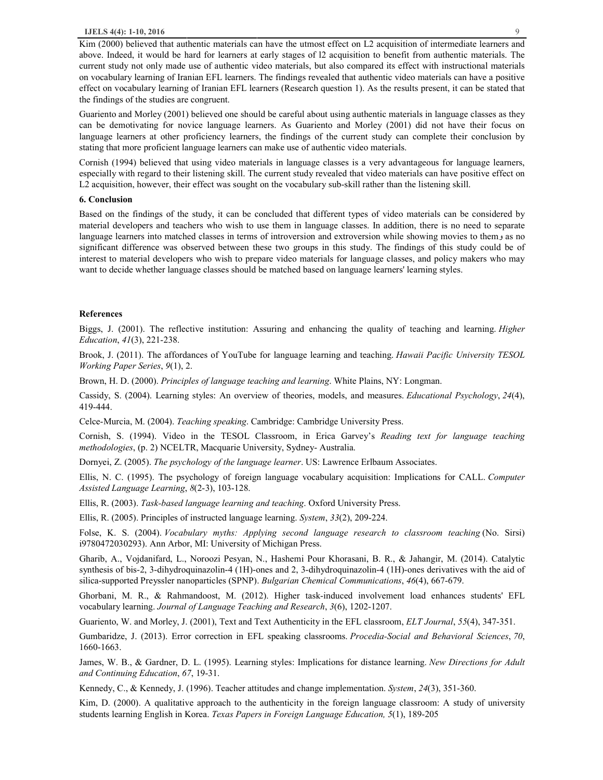## **IJELS 4(4): 1-10, 2016** 9

Kim (2000) believed that authentic materials can have the utmost effect on L2 acquisition of intermediate learners and above. Indeed, it would be hard for learners at early stages of l2 acquisition to benefit from authentic materials. The current study not only made use of authentic video materials, but also compared its effect with instructional materials on vocabulary learning of Iranian EFL learners. The findings revealed that authentic video materials can have a positive effect on vocabulary learning of Iranian EFL learners (Research question 1). As the results present, it can be stated that the findings of the studies are congruent.

Guariento and Morley (2001) believed one should be careful about using authentic materials in language classes as they can be demotivating for novice language learners. As Guariento and Morley (2001) did not have their focus on language learners at other proficiency learners, the findings of the current study can complete their conclusion by stating that more proficient language learners can make use of authentic video materials.

Cornish (1994) believed that using video materials in language classes is a very advantageous for language learners, especially with regard to their listening skill. The current study revealed that video materials can have positive effect on L2 acquisition, however, their effect was sought on the vocabulary sub-skill rather than the listening skill.

# **6. Conclusion**

Based on the findings of the study, it can be concluded that different types of video materials can be considered by material developers and teachers who wish to use them in language classes. In addition, there is no need to separate language learners into matched classes in terms of introversion and extroversion while showing movies to them significant difference was observed between these two groups in this study. The findings of this study could be of interest to material developers who wish to prepare video materials for language classes, and policy makers who may want to decide whether language classes should be matched based on language learners' learning styles.

#### **References**

Biggs, J. (2001). The reflective institution: Assuring and enhancing the quality of teaching and learning. *Higher Education*, *41*(3), 221-238.

Brook, J. (2011). The affordances of YouTube for language learning and teaching. *Hawaii Pacific University TESOL Working Paper Series*, *9*(1), 2.

Brown, H. D. (2000). *Principles of language teaching and learning*. White Plains, NY: Longman.

Cassidy, S. (2004). Learning styles: An overview of theories, models, and measures. *Educational Psychology*, *24*(4), 419-444.

Celce-Murcia, M. (2004). *Teaching speaking*. Cambridge: Cambridge University Press.

Cornish, S. (1994). Video in the TESOL Classroom, in Erica Garvey's *Reading text for language teaching methodologies*, (p. 2) NCELTR, Macquarie University, Sydney- Australia.

Dornyei, Z. (2005). *The psychology of the language learner*. US: Lawrence Erlbaum Associates.

Ellis, N. C. (1995). The psychology of foreign language vocabulary acquisition: Implications for CALL. *Computer Assisted Language Learning*, *8*(2-3), 103-128.

Ellis, R. (2003). *Task-based language learning and teaching*. Oxford University Press.

Ellis, R. (2005). Principles of instructed language learning. *System*, *33*(2), 209-224.

Folse, K. S. (2004). *Vocabulary myths: Applying second language research to classroom teaching* (No. Sirsi) i9780472030293). Ann Arbor, MI: University of Michigan Press.

Gharib, A., Vojdanifard, L., Noroozi Pesyan, N., Hashemi Pour Khorasani, B. R., & Jahangir, M. (2014). Catalytic synthesis of bis-2, 3-dihydroquinazolin-4 (1H)-ones and 2, 3-dihydroquinazolin-4 (1H)-ones derivatives with the aid of silica-supported Preyssler nanoparticles (SPNP). *Bulgarian Chemical Communications*, *46*(4), 667-679.

Ghorbani, M. R., & Rahmandoost, M. (2012). Higher task-induced involvement load enhances students' EFL vocabulary learning. *Journal of Language Teaching and Research*, *3*(6), 1202-1207.

Guariento, W. and Morley, J. (2001), Text and Text Authenticity in the EFL classroom, *ELT Journal*, *55*(4), 347-351.

Gumbaridze, J. (2013). Error correction in EFL speaking classrooms. *Procedia-Social and Behavioral Sciences*, *70*, 1660-1663.

James, W. B., & Gardner, D. L. (1995). Learning styles: Implications for distance learning. *New Directions for Adult and Continuing Education*, *67*, 19-31.

Kennedy, C., & Kennedy, J. (1996). Teacher attitudes and change implementation. *System*, *24*(3), 351-360.

Kim, D. (2000). A qualitative approach to the authenticity in the foreign language classroom: A study of university students learning English in Korea. *Texas Papers in Foreign Language Education, 5*(1), 189-205